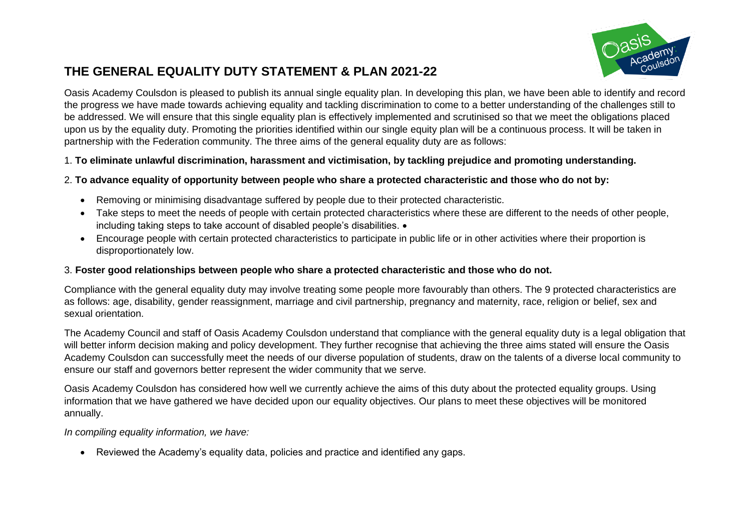

# **THE GENERAL EQUALITY DUTY STATEMENT & PLAN 2021-22**

Oasis Academy Coulsdon is pleased to publish its annual single equality plan. In developing this plan, we have been able to identify and record the progress we have made towards achieving equality and tackling discrimination to come to a better understanding of the challenges still to be addressed. We will ensure that this single equality plan is effectively implemented and scrutinised so that we meet the obligations placed upon us by the equality duty. Promoting the priorities identified within our single equity plan will be a continuous process. It will be taken in partnership with the Federation community. The three aims of the general equality duty are as follows:

#### 1. **To eliminate unlawful discrimination, harassment and victimisation, by tackling prejudice and promoting understanding.**

#### 2. **To advance equality of opportunity between people who share a protected characteristic and those who do not by:**

- Removing or minimising disadvantage suffered by people due to their protected characteristic.
- Take steps to meet the needs of people with certain protected characteristics where these are different to the needs of other people, including taking steps to take account of disabled people's disabilities.  $\bullet$
- Encourage people with certain protected characteristics to participate in public life or in other activities where their proportion is disproportionately low.

### 3. **Foster good relationships between people who share a protected characteristic and those who do not.**

Compliance with the general equality duty may involve treating some people more favourably than others. The 9 protected characteristics are as follows: age, disability, gender reassignment, marriage and civil partnership, pregnancy and maternity, race, religion or belief, sex and sexual orientation.

The Academy Council and staff of Oasis Academy Coulsdon understand that compliance with the general equality duty is a legal obligation that will better inform decision making and policy development. They further recognise that achieving the three aims stated will ensure the Oasis Academy Coulsdon can successfully meet the needs of our diverse population of students, draw on the talents of a diverse local community to ensure our staff and governors better represent the wider community that we serve.

Oasis Academy Coulsdon has considered how well we currently achieve the aims of this duty about the protected equality groups. Using information that we have gathered we have decided upon our equality objectives. Our plans to meet these objectives will be monitored annually.

*In compiling equality information, we have:* 

• Reviewed the Academy's equality data, policies and practice and identified any gaps.